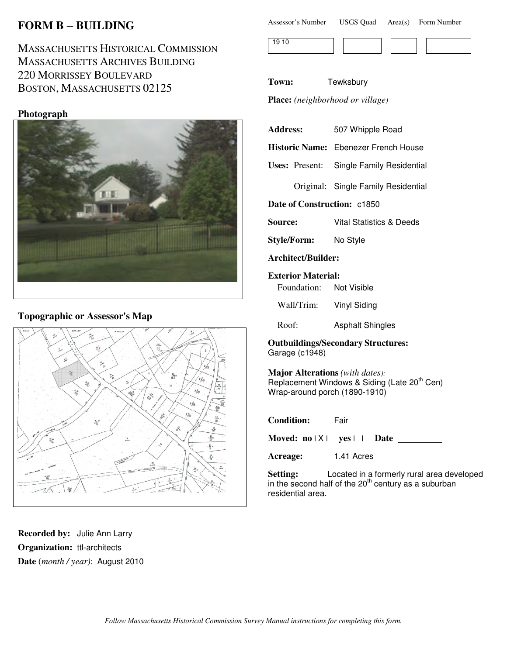# **FORM B** − **BUILDING**

MASSACHUSETTS HISTORICAL COMMISSION MASSACHUSETTS ARCHIVES BUILDING 220 MORRISSEY BOULEVARD BOSTON, MASSACHUSETTS 02125

### **Photograph**



# **Topographic or Assessor's Map**



**Recorded by:** Julie Ann Larry **Organization:** ttl-architects **Date** (*month / year)*: August 2010

| Assessor's Number | <b>USGS Quad</b> |  | Area(s) Form Number |
|-------------------|------------------|--|---------------------|
|-------------------|------------------|--|---------------------|



**Town:** Tewksbury

**Place:** *(neighborhood or village)*

| <b>Address:</b> | 507 Whipple Road |  |  |
|-----------------|------------------|--|--|
|                 |                  |  |  |

**Historic Name:** Ebenezer French House

**Uses:** Present: Single Family Residential

Original: Single Family Residential

**Date of Construction:** c1850

**Source:** Vital Statistics & Deeds

**Style/Form:** No Style

**Architect/Builder:**

**Exterior Material:**

Foundation: Not Visible

Wall/Trim: Vinyl Siding

Roof: Asphalt Shingles

**Outbuildings/Secondary Structures:** Garage (c1948)

**Major Alterations** *(with dates):* Replacement Windows & Siding (Late 20<sup>th</sup> Cen) Wrap-around porch (1890-1910)

| <b>Condition:</b>           | Fair |  |
|-----------------------------|------|--|
| Moved: $no X $ yes     Date |      |  |

**Acreage:** 1.41 Acres

**Setting:** Located in a formerly rural area developed in the second half of the  $20<sup>th</sup>$  century as a suburban residential area.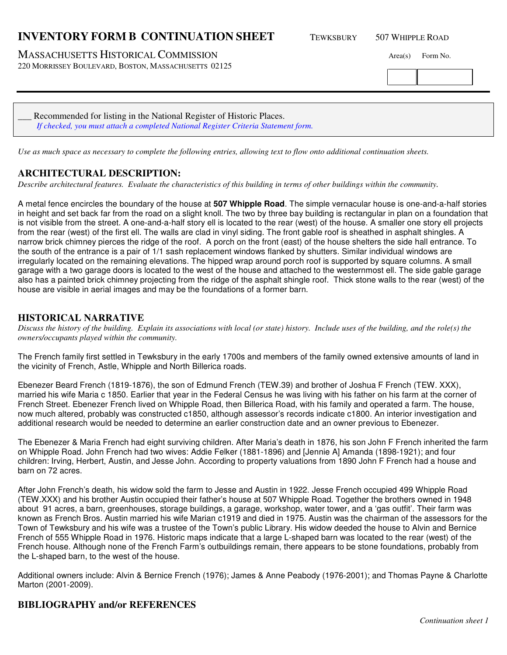### **INVENTORY FORM B CONTINUATION SHEET** TEWKSBURY 507 WHIPPLE ROAD

MASSACHUSETTS HISTORICAL COMMISSION Area(s) Form No.

220 MORRISSEY BOULEVARD, BOSTON, MASSACHUSETTS 02125

\_\_\_ Recommended for listing in the National Register of Historic Places. *If checked, you must attach a completed National Register Criteria Statement form.*

*Use as much space as necessary to complete the following entries, allowing text to flow onto additional continuation sheets.* 

#### **ARCHITECTURAL DESCRIPTION:**

*Describe architectural features. Evaluate the characteristics of this building in terms of other buildings within the community.*

A metal fence encircles the boundary of the house at **507 Whipple Road**. The simple vernacular house is one-and-a-half stories in height and set back far from the road on a slight knoll. The two by three bay building is rectangular in plan on a foundation that is not visible from the street. A one-and-a-half story ell is located to the rear (west) of the house. A smaller one story ell projects from the rear (west) of the first ell. The walls are clad in vinyl siding. The front gable roof is sheathed in asphalt shingles. A narrow brick chimney pierces the ridge of the roof. A porch on the front (east) of the house shelters the side hall entrance. To the south of the entrance is a pair of 1/1 sash replacement windows flanked by shutters. Similar individual windows are irregularly located on the remaining elevations. The hipped wrap around porch roof is supported by square columns. A small garage with a two garage doors is located to the west of the house and attached to the westernmost ell. The side gable garage also has a painted brick chimney projecting from the ridge of the asphalt shingle roof. Thick stone walls to the rear (west) of the house are visible in aerial images and may be the foundations of a former barn.

#### **HISTORICAL NARRATIVE**

*Discuss the history of the building. Explain its associations with local (or state) history. Include uses of the building, and the role(s) the owners/occupants played within the community.*

The French family first settled in Tewksbury in the early 1700s and members of the family owned extensive amounts of land in the vicinity of French, Astle, Whipple and North Billerica roads.

Ebenezer Beard French (1819-1876), the son of Edmund French (TEW.39) and brother of Joshua F French (TEW. XXX), married his wife Maria c 1850. Earlier that year in the Federal Census he was living with his father on his farm at the corner of French Street. Ebenezer French lived on Whipple Road, then Billerica Road, with his family and operated a farm. The house, now much altered, probably was constructed c1850, although assessor's records indicate c1800. An interior investigation and additional research would be needed to determine an earlier construction date and an owner previous to Ebenezer.

The Ebenezer & Maria French had eight surviving children. After Maria's death in 1876, his son John F French inherited the farm on Whipple Road. John French had two wives: Addie Felker (1881-1896) and [Jennie A] Amanda (1898-1921); and four children: Irving, Herbert, Austin, and Jesse John. According to property valuations from 1890 John F French had a house and barn on 72 acres.

After John French's death, his widow sold the farm to Jesse and Austin in 1922. Jesse French occupied 499 Whipple Road (TEW.XXX) and his brother Austin occupied their father's house at 507 Whipple Road. Together the brothers owned in 1948 about 91 acres, a barn, greenhouses, storage buildings, a garage, workshop, water tower, and a 'gas outfit'. Their farm was known as French Bros. Austin married his wife Marian c1919 and died in 1975. Austin was the chairman of the assessors for the Town of Tewksbury and his wife was a trustee of the Town's public Library. His widow deeded the house to Alvin and Bernice French of 555 Whipple Road in 1976. Historic maps indicate that a large L-shaped barn was located to the rear (west) of the French house. Although none of the French Farm's outbuildings remain, there appears to be stone foundations, probably from the L-shaped barn, to the west of the house.

Additional owners include: Alvin & Bernice French (1976); James & Anne Peabody (1976-2001); and Thomas Payne & Charlotte Marton (2001-2009).

#### **BIBLIOGRAPHY and/or REFERENCES**